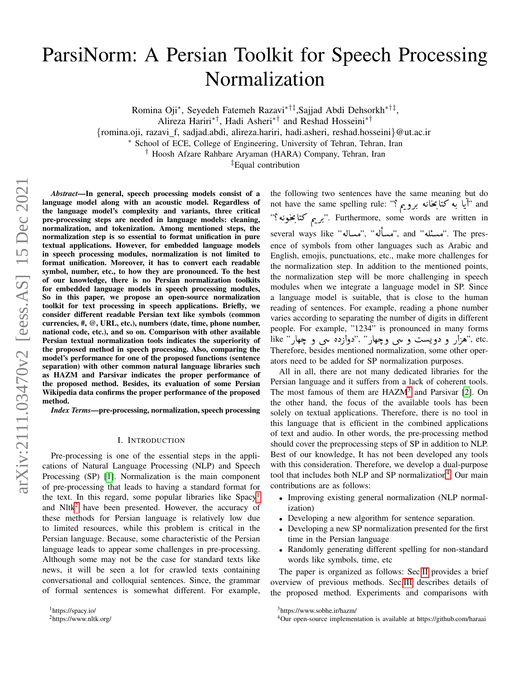# ParsiNorm: A Persian Toolkit for Speech Processing Normalization

Romina Oji<sup>∗</sup> , Seyedeh Fatemeh Razavi∗†‡,Sajjad Abdi Dehsorkh∗†‡ ,

{romina.oji, razavi f, sadjad.abdi, alireza.hariri, hadi.asheri, reshad.hosseini}@ut.ac.ir

<sup>∗</sup> School of ECE, College of Engineering, University of Tehran, Tehran, Iran

† Hoosh Afzare Rahbare Aryaman (HARA) Company, Tehran, Iran

‡Equal contribution

*Abstract*—In general, speech processing models consist of a language model along with an acoustic model. Regardless of the language model's complexity and variants, three critical pre-processing steps are needed in language models: cleaning, normalization, and tokenization. Among mentioned steps, the normalization step is so essential to format unification in pure textual applications. However, for embedded language models in speech processing modules, normalization is not limited to format unification. Moreover, it has to convert each readable symbol, number, etc., to how they are pronounced. To the best of our knowledge, there is no Persian normalization toolkits for embedded language models in speech processing modules, So in this paper, we propose an open-source normalization toolkit for text processing in speech applications. Briefly, we consider different readable Persian text like symbols (common currencies, #, @, URL, etc.), numbers (date, time, phone number, national code, etc.), and so on. Comparison with other available Persian textual normalization tools indicates the superiority of the proposed method in speech processing. Also, comparing the model's performance for one of the proposed functions (sentence separation) with other common natural language libraries such as HAZM and Parsivar indicates the proper performance of the proposed method. Besides, its evaluation of some Persian Wikipedia data confirms the proper performance of the proposed method.

*Index Terms*—pre-processing, normalization, speech processing

#### I. INTRODUCTION

Pre-processing is one of the essential steps in the applications of Natural Language Processing (NLP) and Speech Processing (SP) [\[1\]](#page-4-0). Normalization is the main component of pre-processing that leads to having a standard format for the text. In this regard, some popular libraries like Spacy<sup>[1](#page-0-0)</sup> and Nltk<sup>[2](#page-0-1)</sup> have been presented. However, the accuracy of these methods for Persian language is relatively low due to limited resources, while this problem is critical in the Persian language. Because, some characteristic of the Persian language leads to appear some challenges in pre-processing. Although some may not be the case for standard texts like news, it will be seen a lot for crawled texts containing conversational and colloquial sentences. Since, the grammar of formal sentences is somewhat different. For example,

the following two sentences have the same meaning but do<br>not have the same spelling rule: "أيا به كتالمخانه به م the rollowing two sentences nave the same meaning but do<br>not have the same spelling rule: "أيا به كتابخانه برويم ؟"  $\ddot{\phantom{0}}$ .<br>.<br>. .<br>ا Í . ֦֧֦֦֧֦֧֦֧֦֧֦֧֦֧֦֧֦֦֦֦֦֦֦֦֦֦֦֦֦ and 'آيا به کناچانه برويم !'' and ''' برير and ''''' برير کتابخونه<br>"برير کتابخونه"''. Furthermore, some words are written in :<br>. m . A .<br>. several ways like "مساله", " éËAÓ", and " éËAÓ". The pres-<br>مسئله" and " éÄÓ", " éÉAÓ", " éÉAÓ", " éÉAÓ", " éÉ .<br>۽ ence of symbols from other languages such as Arabic and English, emojis, punctuations, etc., make more challenges for the normalization step. In addition to the mentioned points, the normalization step will be more challenging in speech modules when we integrate a language model in SP. Since a language model is suitable, that is close to the human reading of sentences. For example, reading a phone number varies according to separating the number of digits in different people. For example, "1234" is pronounced in many forms people. For example, "1234" is pronounced in many forms<br>like "هزار و دويست و سي وچهار" ,"دوازده سي و چهار" ,"etc ر<br>يا Therefore, besides mentioned normalization, some other operators need to be added for SP normalization purposes.

All in all, there are not many dedicated libraries for the Persian language and it suffers from a lack of coherent tools. The most famous of them are  $HAZM<sup>3</sup>$  $HAZM<sup>3</sup>$  $HAZM<sup>3</sup>$  and Parsivar [\[2\]](#page-4-1). On the other hand, the focus of the available tools has been solely on textual applications. Therefore, there is no tool in this language that is efficient in the combined applications of text and audio. In other words, the pre-processing method should cover the preprocessing steps of SP in addition to NLP. Best of our knowledge, It has not been developed any tools with this consideration. Therefore, we develop a dual-purpose tool that includes both NLP and SP normalization<sup>[4](#page-0-3)</sup>. Our main contributions are as follows:

- Improving existing general normalization (NLP normalization)
- Developing a new algorithm for sentence separation.
- Developing a new SP normalization presented for the first time in the Persian language
- Randomly generating different spelling for non-standard words like symbols, time, etc

The paper is organized as follows: Sec[.II](#page-1-0) provides a brief overview of previous methods. Sec[.III](#page-1-1) describes details of the proposed method. Experiments and comparisons with

Alireza Hariri∗†, Hadi Asheri∗† and Reshad Hosseini∗†

<span id="page-0-0"></span><sup>1</sup>https://spacy.io/

<span id="page-0-1"></span><sup>2</sup>https://www.nltk.org/

<span id="page-0-2"></span><sup>3</sup>https://www.sobhe.ir/hazm/

<span id="page-0-3"></span><sup>4</sup>Our open-source implementation is available at https://github.com/haraai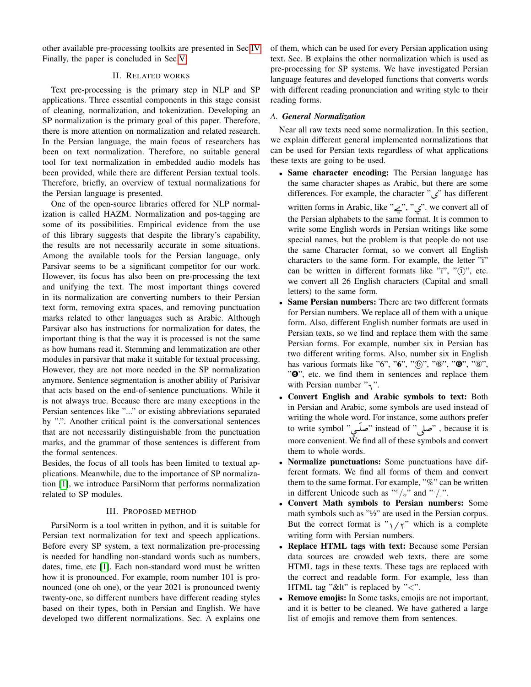other available pre-processing toolkits are presented in Sec[.IV](#page-3-0) Finally, the paper is concluded in Sec[.V.](#page-4-2)

# II. RELATED WORKS

<span id="page-1-0"></span>Text pre-processing is the primary step in NLP and SP applications. Three essential components in this stage consist of cleaning, normalization, and tokenization. Developing an SP normalization is the primary goal of this paper. Therefore, there is more attention on normalization and related research. In the Persian language, the main focus of researchers has been on text normalization. Therefore, no suitable general tool for text normalization in embedded audio models has been provided, while there are different Persian textual tools. Therefore, briefly, an overview of textual normalizations for the Persian language is presented.

One of the open-source libraries offered for NLP normalization is called HAZM. Normalization and pos-tagging are some of its possibilities. Empirical evidence from the use of this library suggests that despite the library's capability, the results are not necessarily accurate in some situations. Among the available tools for the Persian language, only Parsivar seems to be a significant competitor for our work. However, its focus has also been on pre-processing the text and unifying the text. The most important things covered in its normalization are converting numbers to their Persian text form, removing extra spaces, and removing punctuation marks related to other languages such as Arabic. Although Parsivar also has instructions for normalization for dates, the important thing is that the way it is processed is not the same as how humans read it. Stemming and lemmatization are other modules in parsivar that make it suitable for textual processing. However, they are not more needed in the SP normalization anymore. Sentence segmentation is another ability of Parisivar that acts based on the end-of-sentence punctuations. While it is not always true. Because there are many exceptions in the Persian sentences like "..." or existing abbreviations separated by ".". Another critical point is the conversational sentences that are not necessarily distinguishable from the punctuation marks, and the grammar of those sentences is different from the formal sentences.

Besides, the focus of all tools has been limited to textual applications. Meanwhile, due to the importance of SP normalization [\[1\]](#page-4-0), we introduce ParsiNorm that performs normalization related to SP modules.

#### III. PROPOSED METHOD

<span id="page-1-1"></span>ParsiNorm is a tool written in python, and it is suitable for Persian text normalization for text and speech applications. Before every SP system, a text normalization pre-processing is needed for handling non-standard words such as numbers, dates, time, etc [\[1\]](#page-4-0). Each non-standard word must be written how it is pronounced. For example, room number 101 is pronounced (one oh one), or the year 2021 is pronounced twenty twenty-one, so different numbers have different reading styles based on their types, both in Persian and English. We have developed two different normalizations. Sec. A explains one of them, which can be used for every Persian application using text. Sec. B explains the other normalization which is used as pre-processing for SP systems. We have investigated Persian language features and developed functions that converts words with different reading pronunciation and writing style to their reading forms.

### *A. General Normalization*

Near all raw texts need some normalization. In this section, we explain different general implemented normalizations that can be used for Persian texts regardless of what applications these texts are going to be used.

- Same character encoding: The Persian language has the same character shapes as Arabic, but there are some differences. For example, the character " $\zeta$ " has different written forms in Arabic, like "پ $\cong$ ", "پ $\cong$ ". we convert all of the Persian alphabets to the same format. It is common to write some English words in Persian writings like some special names, but the problem is that people do not use the same Character format, so we convert all English characters to the same form. For example, the letter "i" can be written in different formats like "i", " $(i)$ ", etc. we convert all 26 English characters (Capital and small letters) to the same form.
- **Same Persian numbers:** There are two different formats for Persian numbers. We replace all of them with a unique form. Also, different English number formats are used in Persian texts, so we find and replace them with the same Persian forms. For example, number six in Persian has two different writing forms. Also, number six in English has various formats like "6", " $\mathbf{6}$ ", " $\mathbf{6}$ ", " $\mathbf{6}$ ", " $\mathbf{6}$ ", " $\mathbf{6}$ ", " $\mathbf{O}$ ", etc. we find them in sentences and replace them with Persian number  $"\gamma$ .
- Convert English and Arabic symbols to text: Both in Persian and Arabic, some symbols are used instead of writing the whole word. For instance, some authors prefer to write symbol "شملّي" instead of " نصل " , because it is ļ more convenient. We find all of these symbols and convert  $\overline{\phantom{0}}$  $\overline{)}$ them to whole words.
- Normalize punctuations: Some punctuations have different formats. We find all forms of them and convert them to the same format. For example, "%" can be written in different Unicode such as " $c/a$ " and " $/$ .".
- Convert Math symbols to Persian numbers: Some math symbols such as "½" are used in the Persian corpus. But the correct format is " $\gamma/\gamma$ " which is a complete writing form with Persian numbers.
- Replace HTML tags with text: Because some Persian data sources are crowded web texts, there are some HTML tags in these texts. These tags are replaced with the correct and readable form. For example, less than HTML tag "&It" is replaced by "<".
- Remove emojis: In Some tasks, emojis are not important, and it is better to be cleaned. We have gathered a large list of emojis and remove them from sentences.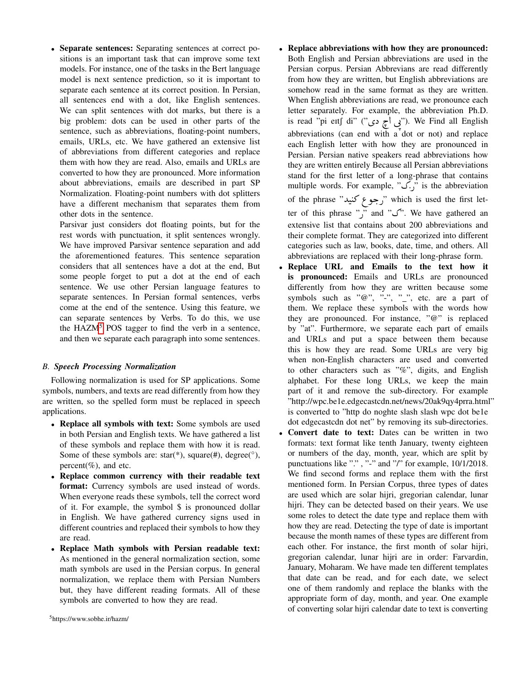• Separate sentences: Separating sentences at correct positions is an important task that can improve some text models. For instance, one of the tasks in the Bert language model is next sentence prediction, so it is important to separate each sentence at its correct position. In Persian, all sentences end with a dot, like English sentences. We can split sentences with dot marks, but there is a big problem: dots can be used in other parts of the sentence, such as abbreviations, floating-point numbers, emails, URLs, etc. We have gathered an extensive list of abbreviations from different categories and replace them with how they are read. Also, emails and URLs are converted to how they are pronounced. More information about abbreviations, emails are described in part SP Normalization. Floating-point numbers with dot splitters have a different mechanism that separates them from other dots in the sentence.

Parsivar just considers dot floating points, but for the rest words with punctuation, it split sentences wrongly. We have improved Parsivar sentence separation and add the aforementioned features. This sentence separation considers that all sentences have a dot at the end, But some people forget to put a dot at the end of each sentence. We use other Persian language features to separate sentences. In Persian formal sentences, verbs come at the end of the sentence. Using this feature, we can separate sentences by Verbs. To do this, we use the  $HAZM<sup>5</sup> POS$  $HAZM<sup>5</sup> POS$  $HAZM<sup>5</sup> POS$  tagger to find the verb in a sentence, and then we separate each paragraph into some sentences.

# *B. Speech Processing Normalization*

Following normalization is used for SP applications. Some symbols, numbers, and texts are read differently from how they are written, so the spelled form must be replaced in speech applications.

- Replace all symbols with text: Some symbols are used in both Persian and English texts. We have gathered a list of these symbols and replace them with how it is read. Some of these symbols are:  $star(*)$ , square(#), degree(°), percent $(\%)$ , and etc.
- Replace common currency with their readable text format: Currency symbols are used instead of words. When everyone reads these symbols, tell the correct word of it. For example, the symbol \$ is pronounced dollar in English. We have gathered currency signs used in different countries and replaced their symbols to how they are read.
- <span id="page-2-0"></span>• Replace Math symbols with Persian readable text: As mentioned in the general normalization section, some math symbols are used in the Persian corpus. In general normalization, we replace them with Persian Numbers but, they have different reading formats. All of these symbols are converted to how they are read.
- Replace abbreviations with how they are pronounced: Both English and Persian abbreviations are used in the Persian corpus. Persian Abbrevians are read differently from how they are written, but English abbreviations are somehow read in the same format as they are written. When English abbreviations are read, we pronounce each letter separately. For example, the abbreviation Ph.D. is read "pi ettf di" ("q",  $\frac{1}{2}$  di" ("y"). We Find all English ر<br>د abbreviations (can end with a dot or not) and replace each English letter with how they are pronounced in Persian. Persian native speakers read abbreviations how they are written entirely Because all Persian abbreviations stand for the first letter of a long-phrase that contains multiple words. For example, " $\tilde{C}$ , is the abbreviation of the phrase "رجوع كنيد" which is used the first let- $\overline{a}$ .<br>. ter of this phrase " $\gamma$ " and " $\gamma$ ". We have gathered an extensive list that contains about 200 abbreviations and their complete format. They are categorized into different categories such as law, books, date, time, and others. All abbreviations are replaced with their long-phrase form.
- Replace URL and Emails to the text how it is pronounced: Emails and URLs are pronounced differently from how they are written because some symbols such as " $\mathbb{Q}$ ", "-", "<sub>-</sub>", etc. are a part of them. We replace these symbols with the words how they are pronounced. For instance, "@" is replaced by "at". Furthermore, we separate each part of emails and URLs and put a space between them because this is how they are read. Some URLs are very big when non-English characters are used and converted to other characters such as "%", digits, and English alphabet. For these long URLs, we keep the main part of it and remove the sub-directory. For example "http://wpc.be1e.edgecastcdn.net/news/20ak9qy4prra.html" is converted to "http do noghte slash slash wpc dot be1e dot edgecastcdn dot net" by removing its sub-directories.
- Convert date to text: Dates can be written in two formats: text format like tenth January, twenty eighteen or numbers of the day, month, year, which are split by punctuations like ".", "-" and "/" for example,  $10/1/2018$ . We find second forms and replace them with the first mentioned form. In Persian Corpus, three types of dates are used which are solar hijri, gregorian calendar, lunar hijri. They can be detected based on their years. We use some roles to detect the date type and replace them with how they are read. Detecting the type of date is important because the month names of these types are different from each other. For instance, the first month of solar hijri, gregorian calendar, lunar hijri are in order: Farvardin, January, Moharam. We have made ten different templates that date can be read, and for each date, we select one of them randomly and replace the blanks with the appropriate form of day, month, and year. One example of converting solar hijri calendar date to text is converting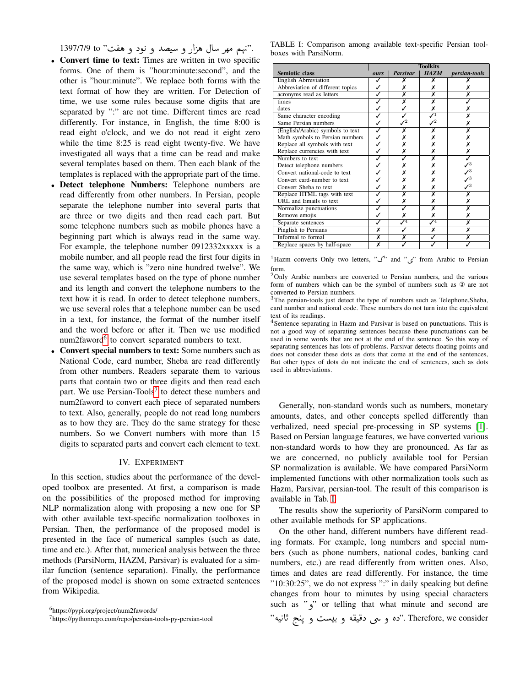1397/7/9 to "I ®ë ð Xñ K ð YJ ð P@ Që ÈA QêÓ Ñî E". ֦ ֦֘

- Convert time to text: Times are written in two specific forms. One of them is "hour:minute:second", and the other is "hour:minute". We replace both forms with the text format of how they are written. For Detection of time, we use some rules because some digits that are separated by ":" are not time. Different times are read differently. For instance, in English, the time 8:00 is read eight o'clock, and we do not read it eight zero while the time 8:25 is read eight twenty-five. We have investigated all ways that a time can be read and make several templates based on them. Then each blank of the templates is replaced with the appropriate part of the time.
- Detect telephone Numbers: Telephone numbers are read differently from other numbers. In Persian, people separate the telephone number into several parts that are three or two digits and then read each part. But some telephone numbers such as mobile phones have a beginning part which is always read in the same way. For example, the telephone number 0912332xxxxx is a mobile number, and all people read the first four digits in the same way, which is "zero nine hundred twelve". We use several templates based on the type of phone number and its length and convert the telephone numbers to the text how it is read. In order to detect telephone numbers, we use several roles that a telephone number can be used in a text, for instance, the format of the number itself and the word before or after it. Then we use modified num2faword<sup>[6](#page-3-1)</sup> to convert separated numbers to text.
- Convert special numbers to text: Some numbers such as National Code, card number, Sheba are read differently from other numbers. Readers separate them to various parts that contain two or three digits and then read each part. We use Persian-Tools<sup>[7](#page-3-2)</sup> to detect these numbers and num2faword to convert each piece of separated numbers to text. Also, generally, people do not read long numbers as to how they are. They do the same strategy for these numbers. So we Convert numbers with more than 15 digits to separated parts and convert each element to text.

#### IV. EXPERIMENT

<span id="page-3-0"></span>In this section, studies about the performance of the developed toolbox are presented. At first, a comparison is made on the possibilities of the proposed method for improving NLP normalization along with proposing a new one for SP with other available text-specific normalization toolboxes in Persian. Then, the performance of the proposed model is presented in the face of numerical samples (such as date, time and etc.). After that, numerical analysis between the three methods (ParsiNorm, HAZM, Parsivar) is evaluated for a similar function (sentence separation). Finally, the performance of the proposed model is shown on some extracted sentences from Wikipedia.

<span id="page-3-3"></span>TABLE I: Comparison among available text-specific Persian toolboxes with ParsiNorm.

|                                  | <b>Toolkits</b> |                 |                  |                      |  |
|----------------------------------|-----------------|-----------------|------------------|----------------------|--|
| <b>Semiotic class</b>            | ours            | <b>Parsivar</b> | <b>HAZM</b>      | <i>persian-tools</i> |  |
| <b>English Abrreviation</b>      |                 | х               | x                |                      |  |
| Abbreviation of different topics |                 | x               |                  |                      |  |
| acronyms read as letters         |                 | X               | Х                | X                    |  |
| times                            |                 | x               | x                |                      |  |
| dates                            |                 |                 |                  |                      |  |
| Same character encoding          |                 |                 |                  | x                    |  |
| Same Persian numbers             |                 |                 |                  |                      |  |
| (English/Arabic) symbols to text |                 | х               |                  |                      |  |
| Math symbols to Persian numbers  |                 |                 |                  |                      |  |
| Replace all symbols with text    |                 |                 |                  |                      |  |
| Replace currencies with text     |                 |                 |                  |                      |  |
| Numbers to text                  |                 |                 |                  |                      |  |
| Detect telephone numbers         |                 |                 |                  |                      |  |
| Convert national-code to text    |                 |                 |                  |                      |  |
| Convert card-number to text      |                 |                 |                  |                      |  |
| Convert Sheba to text            |                 |                 |                  |                      |  |
| Replace HTML tags with text      |                 | X               |                  |                      |  |
| URL and Emails to text           |                 |                 |                  |                      |  |
| Normalize punctuations           |                 |                 |                  |                      |  |
| Remove emojis                    |                 |                 |                  |                      |  |
| Separate sentences               |                 | $J^4$           | $\overline{J^4}$ | x                    |  |
| Pinglish to Persians             | Х               |                 | х                | х                    |  |
| Informal to formal               | х               | х               |                  | х                    |  |
| Replace spaces by half-space     | X               |                 |                  |                      |  |

 $1$ Hazm converts Only two letters, " $\sim$ " and " $\zeta$ " from Arabic to Persian form.

 $2$ Only Arabic numbers are converted to Persian numbers, and the various form of numbers which can be the symbol of numbers such as ③ are not converted to Persian numbers.

<sup>3</sup>The persian-tools just detect the type of numbers such as Telephone,Sheba, card number and national code. These numbers do not turn into the equivalent text of its readings.

<sup>4</sup>Sentence separating in Hazm and Parsivar is based on punctuations. This is not a good way of separating sentences because these punctuations can be used in some words that are not at the end of the sentence. So this way of separating sentences has lots of problems. Parsivar detects floating points and does not consider these dots as dots that come at the end of the sentences, But other types of dots do not indicate the end of sentences, such as dots used in abbreviations.

Generally, non-standard words such as numbers, monetary amounts, dates, and other concepts spelled differently than verbalized, need special pre-processing in SP systems [\[1\]](#page-4-0). Based on Persian language features, we have converted various non-standard words to how they are pronounced. As far as we are concerned, no publicly available tool for Persian SP normalization is available. We have compared ParsiNorm implemented functions with other normalization tools such as Hazm, Parsivar, persian-tool. The result of this comparison is available in Tab. [I.](#page-3-3)

The results show the superiority of ParsiNorm compared to other available methods for SP applications.

On the other hand, different numbers have different reading formats. For example, long numbers and special numbers (such as phone numbers, national codes, banking card numbers, etc.) are read differently from written ones. Also, times and dates are read differently. For instance, the time "10:30:25", we do not express ":" in daily speaking but define changes from hour to minutes by using special characters such as " $\phi$ " or telling that what minute and second are or tening that what inhlue and secold are<br>مر می دقیقه و بیست و پنج ثانیه". Therefore, we consider"  $\overline{a}$  ֦ ٳ .<br>د ש<br>.  $\overline{a}$ ֦

<span id="page-3-1"></span><sup>6</sup>https://pypi.org/project/num2fawords/

<span id="page-3-2"></span><sup>7</sup>https://pythonrepo.com/repo/persian-tools-py-persian-tool